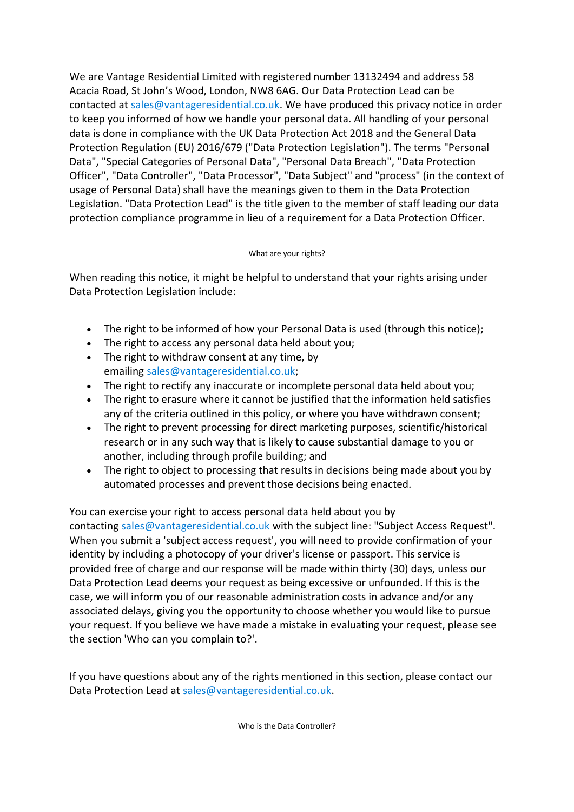We are Vantage Residential Limited with registered number 13132494 and address 58 Acacia Road, St John's Wood, London, NW8 6AG. Our Data Protection Lead can be contacted at [sales@vantageresidential.co.uk.](mailto:sales@vantageresidential.co.uk) We have produced this privacy notice in order to keep you informed of how we handle your personal data. All handling of your personal data is done in compliance with the UK Data Protection Act 2018 and the General Data Protection Regulation (EU) 2016/679 ("Data Protection Legislation"). The terms "Personal Data", "Special Categories of Personal Data", "Personal Data Breach", "Data Protection Officer", "Data Controller", "Data Processor", "Data Subject" and "process" (in the context of usage of Personal Data) shall have the meanings given to them in the Data Protection Legislation. "Data Protection Lead" is the title given to the member of staff leading our data protection compliance programme in lieu of a requirement for a Data Protection Officer.

# What are your rights?

When reading this notice, it might be helpful to understand that your rights arising under Data Protection Legislation include:

- The right to be informed of how your Personal Data is used (through this notice);
- The right to access any personal data held about you;
- The right to withdraw consent at any time, by emailing [sales@vantageresidential.co.uk;](mailto:sales@vantageresidential.co.uk)
- The right to rectify any inaccurate or incomplete personal data held about you;
- The right to erasure where it cannot be justified that the information held satisfies any of the criteria outlined in this policy, or where you have withdrawn consent;
- The right to prevent processing for direct marketing purposes, scientific/historical research or in any such way that is likely to cause substantial damage to you or another, including through profile building; and
- The right to object to processing that results in decisions being made about you by automated processes and prevent those decisions being enacted.

You can exercise your right to access personal data held about you by contacting [sales@vantageresidential.co.uk](mailto:sales@vantageresidential.co.uk) with the subject line: "Subject Access Request". When you submit a 'subject access request', you will need to provide confirmation of your identity by including a photocopy of your driver's license or passport. This service is provided free of charge and our response will be made within thirty (30) days, unless our Data Protection Lead deems your request as being excessive or unfounded. If this is the case, we will inform you of our reasonable administration costs in advance and/or any associated delays, giving you the opportunity to choose whether you would like to pursue your request. If you believe we have made a mistake in evaluating your request, please see the section 'Who can you complain to?'.

If you have questions about any of the rights mentioned in this section, please contact our Data Protection Lead at [sales@vantageresidential.co.uk.](mailto:sales@vantageresidential.co.uk)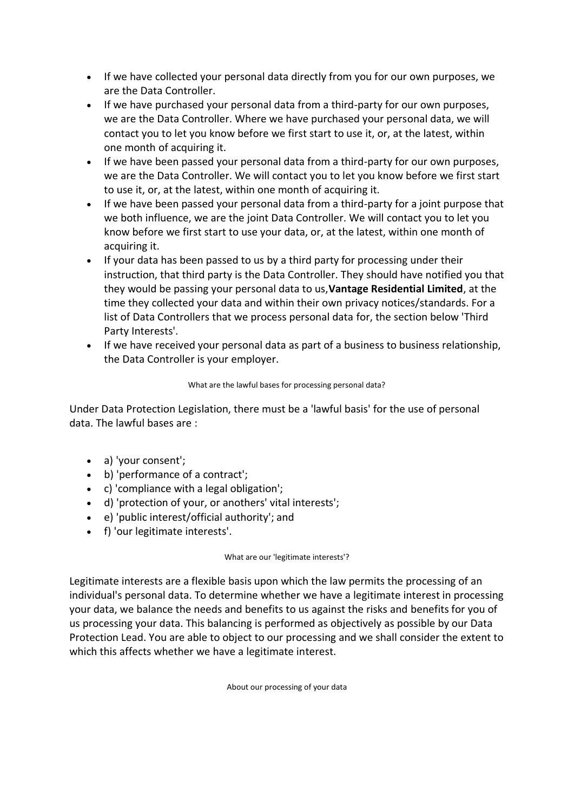- If we have collected your personal data directly from you for our own purposes, we are the Data Controller.
- If we have purchased your personal data from a third-party for our own purposes, we are the Data Controller. Where we have purchased your personal data, we will contact you to let you know before we first start to use it, or, at the latest, within one month of acquiring it.
- If we have been passed your personal data from a third-party for our own purposes, we are the Data Controller. We will contact you to let you know before we first start to use it, or, at the latest, within one month of acquiring it.
- If we have been passed your personal data from a third-party for a joint purpose that we both influence, we are the joint Data Controller. We will contact you to let you know before we first start to use your data, or, at the latest, within one month of acquiring it.
- If your data has been passed to us by a third party for processing under their instruction, that third party is the Data Controller. They should have notified you that they would be passing your personal data to us,**Vantage Residential Limited**, at the time they collected your data and within their own privacy notices/standards. For a list of Data Controllers that we process personal data for, the section below 'Third Party Interests'.
- If we have received your personal data as part of a business to business relationship, the Data Controller is your employer.

# What are the lawful bases for processing personal data?

Under Data Protection Legislation, there must be a 'lawful basis' for the use of personal data. The lawful bases are :

- a) 'your consent';
- b) 'performance of a contract';
- c) 'compliance with a legal obligation';
- d) 'protection of your, or anothers' vital interests';
- e) 'public interest/official authority'; and
- f) 'our legitimate interests'.

# What are our 'legitimate interests'?

Legitimate interests are a flexible basis upon which the law permits the processing of an individual's personal data. To determine whether we have a legitimate interest in processing your data, we balance the needs and benefits to us against the risks and benefits for you of us processing your data. This balancing is performed as objectively as possible by our Data Protection Lead. You are able to object to our processing and we shall consider the extent to which this affects whether we have a legitimate interest.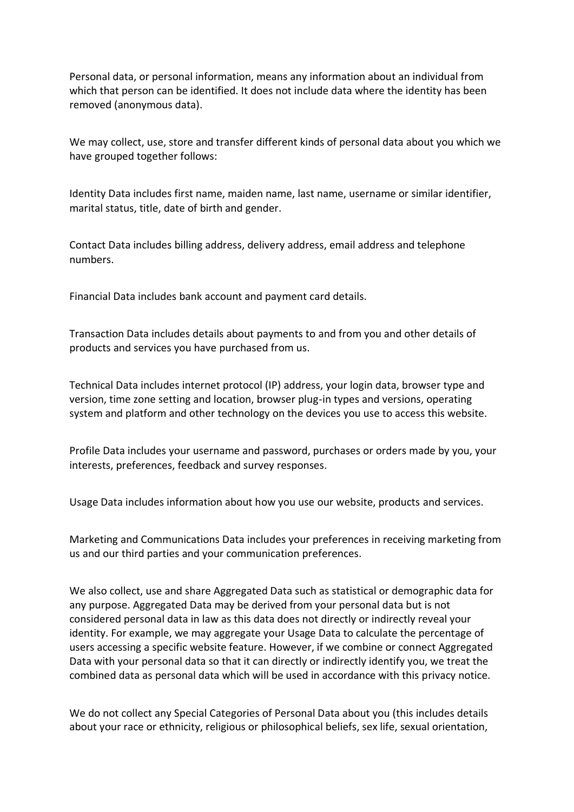Personal data, or personal information, means any information about an individual from which that person can be identified. It does not include data where the identity has been removed (anonymous data).

We may collect, use, store and transfer different kinds of personal data about you which we have grouped together follows:

Identity Data includes first name, maiden name, last name, username or similar identifier, marital status, title, date of birth and gender.

Contact Data includes billing address, delivery address, email address and telephone numbers.

Financial Data includes bank account and payment card details.

Transaction Data includes details about payments to and from you and other details of products and services you have purchased from us.

Technical Data includes internet protocol (IP) address, your login data, browser type and version, time zone setting and location, browser plug-in types and versions, operating system and platform and other technology on the devices you use to access this website.

Profile Data includes your username and password, purchases or orders made by you, your interests, preferences, feedback and survey responses.

Usage Data includes information about how you use our website, products and services.

Marketing and Communications Data includes your preferences in receiving marketing from us and our third parties and your communication preferences.

We also collect, use and share Aggregated Data such as statistical or demographic data for any purpose. Aggregated Data may be derived from your personal data but is not considered personal data in law as this data does not directly or indirectly reveal your identity. For example, we may aggregate your Usage Data to calculate the percentage of users accessing a specific website feature. However, if we combine or connect Aggregated Data with your personal data so that it can directly or indirectly identify you, we treat the combined data as personal data which will be used in accordance with this privacy notice.

We do not collect any Special Categories of Personal Data about you (this includes details about your race or ethnicity, religious or philosophical beliefs, sex life, sexual orientation,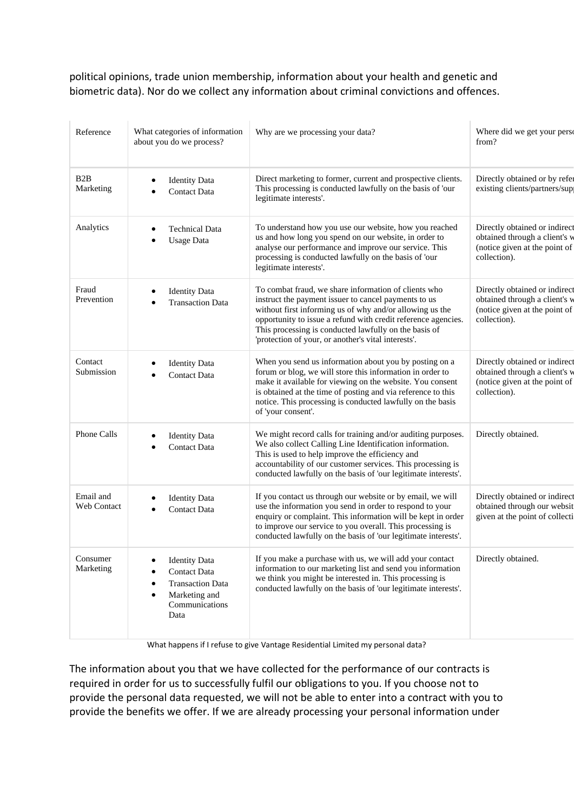political opinions, trade union membership, information about your health and genetic and biometric data). Nor do we collect any information about criminal convictions and offences.

| Reference                     | What categories of information<br>about you do we process?                                                 | Why are we processing your data?                                                                                                                                                                                                                                                                                                                          | Where did we get your perso<br>from?                                                                            |
|-------------------------------|------------------------------------------------------------------------------------------------------------|-----------------------------------------------------------------------------------------------------------------------------------------------------------------------------------------------------------------------------------------------------------------------------------------------------------------------------------------------------------|-----------------------------------------------------------------------------------------------------------------|
| B <sub>2</sub> B<br>Marketing | <b>Identity Data</b><br><b>Contact Data</b>                                                                | Direct marketing to former, current and prospective clients.<br>This processing is conducted lawfully on the basis of 'our<br>legitimate interests'.                                                                                                                                                                                                      | Directly obtained or by refer<br>existing clients/partners/sup                                                  |
| Analytics                     | <b>Technical Data</b><br><b>Usage Data</b>                                                                 | To understand how you use our website, how you reached<br>us and how long you spend on our website, in order to<br>analyse our performance and improve our service. This<br>processing is conducted lawfully on the basis of 'our<br>legitimate interests'.                                                                                               | Directly obtained or indirect<br>obtained through a client's w<br>(notice given at the point of<br>collection). |
| Fraud<br>Prevention           | <b>Identity Data</b><br><b>Transaction Data</b>                                                            | To combat fraud, we share information of clients who<br>instruct the payment issuer to cancel payments to us<br>without first informing us of why and/or allowing us the<br>opportunity to issue a refund with credit reference agencies.<br>This processing is conducted lawfully on the basis of<br>'protection of your, or another's vital interests'. | Directly obtained or indirect<br>obtained through a client's w<br>(notice given at the point of<br>collection). |
| Contact<br>Submission         | <b>Identity Data</b><br><b>Contact Data</b>                                                                | When you send us information about you by posting on a<br>forum or blog, we will store this information in order to<br>make it available for viewing on the website. You consent<br>is obtained at the time of posting and via reference to this<br>notice. This processing is conducted lawfully on the basis<br>of 'your consent'.                      | Directly obtained or indirect<br>obtained through a client's w<br>(notice given at the point of<br>collection). |
| <b>Phone Calls</b>            | <b>Identity Data</b><br><b>Contact Data</b>                                                                | We might record calls for training and/or auditing purposes.<br>We also collect Calling Line Identification information.<br>This is used to help improve the efficiency and<br>accountability of our customer services. This processing is<br>conducted lawfully on the basis of 'our legitimate interests'.                                              | Directly obtained.                                                                                              |
| Email and<br>Web Contact      | <b>Identity Data</b><br><b>Contact Data</b>                                                                | If you contact us through our website or by email, we will<br>use the information you send in order to respond to your<br>enquiry or complaint. This information will be kept in order<br>to improve our service to you overall. This processing is<br>conducted lawfully on the basis of 'our legitimate interests'.                                     | Directly obtained or indirect<br>obtained through our websit<br>given at the point of collecti                  |
| Consumer<br>Marketing         | <b>Identity Data</b><br>Contact Data<br><b>Transaction Data</b><br>Marketing and<br>Communications<br>Data | If you make a purchase with us, we will add your contact<br>information to our marketing list and send you information<br>we think you might be interested in. This processing is<br>conducted lawfully on the basis of 'our legitimate interests'.                                                                                                       | Directly obtained.                                                                                              |

What happens if I refuse to give Vantage Residential Limited my personal data?

The information about you that we have collected for the performance of our contracts is required in order for us to successfully fulfil our obligations to you. If you choose not to provide the personal data requested, we will not be able to enter into a contract with you to provide the benefits we offer. If we are already processing your personal information under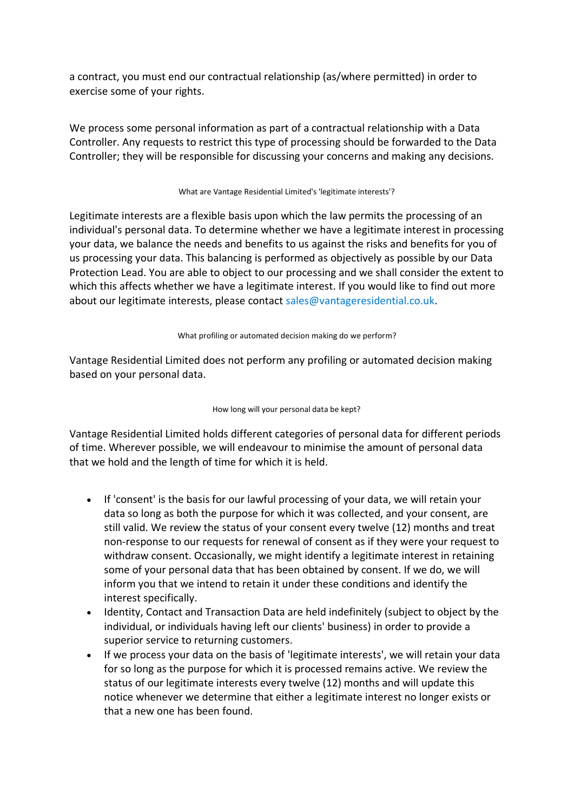a contract, you must end our contractual relationship (as/where permitted) in order to exercise some of your rights.

We process some personal information as part of a contractual relationship with a Data Controller. Any requests to restrict this type of processing should be forwarded to the Data Controller; they will be responsible for discussing your concerns and making any decisions.

### What are Vantage Residential Limited's 'legitimate interests'?

Legitimate interests are a flexible basis upon which the law permits the processing of an individual's personal data. To determine whether we have a legitimate interest in processing your data, we balance the needs and benefits to us against the risks and benefits for you of us processing your data. This balancing is performed as objectively as possible by our Data Protection Lead. You are able to object to our processing and we shall consider the extent to which this affects whether we have a legitimate interest. If you would like to find out more about our legitimate interests, please contact [sales@vantageresidential.co.uk.](mailto:sales@vantageresidential.co.uk)

## What profiling or automated decision making do we perform?

Vantage Residential Limited does not perform any profiling or automated decision making based on your personal data.

### How long will your personal data be kept?

Vantage Residential Limited holds different categories of personal data for different periods of time. Wherever possible, we will endeavour to minimise the amount of personal data that we hold and the length of time for which it is held.

- If 'consent' is the basis for our lawful processing of your data, we will retain your data so long as both the purpose for which it was collected, and your consent, are still valid. We review the status of your consent every twelve (12) months and treat non-response to our requests for renewal of consent as if they were your request to withdraw consent. Occasionally, we might identify a legitimate interest in retaining some of your personal data that has been obtained by consent. If we do, we will inform you that we intend to retain it under these conditions and identify the interest specifically.
- Identity, Contact and Transaction Data are held indefinitely (subject to object by the individual, or individuals having left our clients' business) in order to provide a superior service to returning customers.
- If we process your data on the basis of 'legitimate interests', we will retain your data for so long as the purpose for which it is processed remains active. We review the status of our legitimate interests every twelve (12) months and will update this notice whenever we determine that either a legitimate interest no longer exists or that a new one has been found.